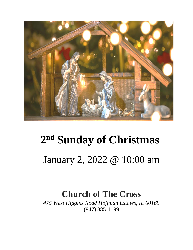

# **2 nd Sunday of Christmas** January 2, 2022 @ 10:00 am

### **Church of The Cross**

*475 West Higgins Road Hoffman Estates, IL 60169* (847) 885-1199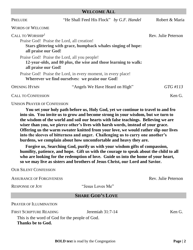#### **WELCOME ALL**

| PRELUDE                                                                                                                                                            | "He Shall Feed His Flock" by G.F. Handel                                                                        | Robert & Maria |
|--------------------------------------------------------------------------------------------------------------------------------------------------------------------|-----------------------------------------------------------------------------------------------------------------|----------------|
| <b>WORDS OF WELCOME</b>                                                                                                                                            |                                                                                                                 |                |
| CALL TO WORSHIP <sup>1</sup><br>Praise God! Praise the Lord, all creation!<br>Stars glittering with grace, humpback whales singing of hope:<br>all praise our God! | Rev. Julie Peterson                                                                                             |                |
| all praise our God!                                                                                                                                                | Praise God! Praise the Lord, all you people!<br>12-year-olds, and 80 plus, the wise and those learning to walk: |                |
|                                                                                                                                                                    | Praise God! Praise the Lord, in every moment, in every place!<br>Wherever we find ourselves: we praise our God! |                |
| <b>OPENING HYMN</b>                                                                                                                                                | "Angels We Have Heard on High"                                                                                  | $GTG \#113$    |
| <b>CALL TO CONFESSION</b>                                                                                                                                          |                                                                                                                 | Ken G.         |

#### UNISON PRAYER OF CONFESSION

**You set your holy path before us, Holy God, yet we continue to travel to and fro into sin. You invite us to grow and become strong in your wisdom, but we turn to the wisdom of the world and soil our hearts with false teachings. Believing we are wiser than you, we pierce other's lives with harsh words, instead of your grace. Offering us the warm sweater knitted from your love, we would rather slip our lives into the sleeves of bitterness and anger. Challenging us to carry one another's burdens, we complain about how uncomfortable and heavy they are.** 

**Forgive us, Searching God, purify us with your wisdom gifts of compassion, humility, patience, and hope. Gift us with the courage to speak about the child to all who are looking for the redemption of love. Guide us into the home of your heart, so we may live as sisters and brothers of Jesus Christ, our Lord and Savior.**

OUR SILENT CONFESSION

**BOLD text** is read by the Congregation **Page | 2** ASSURANCE OF FORGIVENESS Rev. Julie Peterson RESPONSE OF JOY "Jesus Loves Me" **SHARE GOD'S LOVE** PRAYER OF ILLUMINATION FIRST SCRIPTURE READING Jeremiah 31:7-14 Ken G. This is the word of God for the people of God. **Thanks be to God.**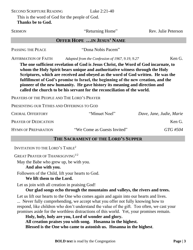SECOND SCRIPTURE READING Luke 2:21-40

This is the word of God for the people of God. **Thanks be to God.**

| <b>SERMON</b>                                                                                                                                                                                                                                                                                                                                                                                                                                                                                           | "Returning Home"                                | Rev. Julie Peterson      |  |  |  |
|---------------------------------------------------------------------------------------------------------------------------------------------------------------------------------------------------------------------------------------------------------------------------------------------------------------------------------------------------------------------------------------------------------------------------------------------------------------------------------------------------------|-------------------------------------------------|--------------------------|--|--|--|
| <b>OFFER HOPE IN JESUS' NAME</b>                                                                                                                                                                                                                                                                                                                                                                                                                                                                        |                                                 |                          |  |  |  |
| <b>PASSING THE PEACE</b>                                                                                                                                                                                                                                                                                                                                                                                                                                                                                | "Dona Nobis Pacem"                              |                          |  |  |  |
| <b>AFFIRMATION OF FAITH</b>                                                                                                                                                                                                                                                                                                                                                                                                                                                                             | Adapted from the Confession of 1967, 9.19, 9.27 | Ken G.                   |  |  |  |
| The one sufficient revelation of God is Jesus Christ, the Word of God incarnate, to<br>whom the Holy Spirit bears unique and authoritative witness through the Holy<br>Scriptures, which are received and obeyed as the word of God written. He was the<br>fulfillment of God's promise to Israel, the beginning of the new creation, and the<br>pioneer of the new humanity. He gave history its meaning and direction and<br>called the church to be his servant for the reconciliation of the world. |                                                 |                          |  |  |  |
| PRAYERS OF THE PEOPLE AND THE LORD'S PRAYER                                                                                                                                                                                                                                                                                                                                                                                                                                                             |                                                 |                          |  |  |  |
| PRESENTING OUR TITHES AND OFFERINGS TO GOD                                                                                                                                                                                                                                                                                                                                                                                                                                                              |                                                 |                          |  |  |  |
| <b>CHORAL OFFERTORY</b>                                                                                                                                                                                                                                                                                                                                                                                                                                                                                 | "Minuet Noel"                                   | Dave, Jane, Judie, Marie |  |  |  |
| <b>PRAYER OF DEDICATION</b>                                                                                                                                                                                                                                                                                                                                                                                                                                                                             |                                                 | Ken G.                   |  |  |  |
| <b>HYMN OF PREPARATION</b>                                                                                                                                                                                                                                                                                                                                                                                                                                                                              | "We Come as Guests Invited"                     | GTG #504                 |  |  |  |
| THE SACRAMENT OF THE LORD'S SUPPER                                                                                                                                                                                                                                                                                                                                                                                                                                                                      |                                                 |                          |  |  |  |

INVITATION TO THE LORD'S TABLE<sup>2</sup>

GREAT PRAYER OF THANKSGIVING<sup>1/2</sup>

May the Babe who grew up, be with you.

**And also with you.** 

Followers of the Child, lift your hearts to God.

**We lift them to the Lord.**

Let us join with all creation in praising God!

#### **Our glad songs echo through the mountains and valleys, the rivers and trees.**

Let us lift our hearts to the One who comes again and again into our hearts and lives. ... Never fully comprehending, we accept what you offer not fully knowing how to respond, like children who don't understand the value of the gift. Too often, we cast your promises aside for the worthless distractions of this world. Yet, your promises remain.

**Holy, holy, holy are you, Lord of wonder and glory. All creation praises you with song. Hosanna in the highest. Blessed is the One who came to astonish us. Hosanna in the highest**.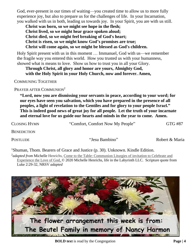God, ever-present in our times of waiting—you created time to allow us to more fully experience joy, but also to prepare us for the challenges of life. In your Incarnation, you walked with us in both, leading us towards joy. In your Spirit, you are with us still.

**Christ was born, so we might see hope in the flesh; Christ lived, so we might hear grace spoken aloud; Christ died, so we might feel breaking of God's heart; Christ is risen, so we might know God's promises are true; Christ will come again, so we might be blessed as God's children.**

Holy Spirit present with us in this moment … Immanuel, God with us—we remember the fragile way you entered this world. How you trusted us with your humanness, showed what is means to love. Show us how to trust you in all your Glory.

#### **Through Christ, all glory and honor are yours, Almighty God, with the Holy Spirit in your Holy Church, now and forever. Amen,**

COMMUNING TOGETHER

PRAYER AFTER COMMUNION<sup>2</sup>

**"Lord, now you are dismissing your servants in peace, according to your word; for our eyes have seen you salvation, which you have prepared in the presence of all peoples, a light of revelation to the Gentiles and for glory to your people Israel." This is indeed good news of great joy for all people. Let the truth of your incarnate and eternal love for us guide our hearts and minds in the year to come. Amen.**

| <b>CLOSING HYMN</b> | "Comfort, Comfort Now My People" | GTG #87 |
|---------------------|----------------------------------|---------|
|                     |                                  |         |

**BENEDICTION** 

POSTLUDE "Jesu Bambino" Robert & Maria

<sup>1</sup>Shuman, Thom. Bearers of Grace and Justice (p. 30). Unknown. Kindle Edition. <sup>2</sup>adapted from Michelle Henrichs, Come to the Table: Communion Liturgies of invitation to Celebrate and Experience the Love of God, © 2020 Michelle Henrichs, life in the Labyrinth LLC. Scripture quote from Luke 2:29-32, NRSV *adapted*

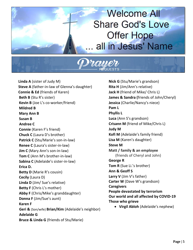## **Welcome All Share God's Love Offer Hope** all in Jesus' Name



 **Linda A** (sister of Judy M)  **Steve A** (father-in-law of Glenna's daughter)  **Connie & Ed** (friends of Karen) **Beth B** (Stu R's sister) **Kevin B** (Joe L's co-worker/friend) **Mildred B Mary Ann B Susan B Andree C Connie** (Karen F's friend) **Chuck C** (Laura D's brother) **Patrick C** (Stu/Marie's son-in-law) **Renee C** (Laura's sister-in-law) **Jim C** (Mary Ann's son-in-law) **Tom C** (Ann M's brother-in-law) **Sabina C** (Adelaide's sister-in-law) **Erica D. Betty D** (Marie R's cousin) **Cecily** (Laura D) **Linda D** (Jim/ Sue's relative) **Betty F** (Chris L's mother) **Abby F** (Chris/Mike's granddaughter) **Donna F** (Jim/Sue's aunt) **Karen F Geri &** (Son/wife) **Brian/Kim** (Adelaide's neighbor) **Adelaide G Bruce & Linda G** (friends of Stu/Marie)

**Nick G** (Stu/Marie's grandson) **Rita H** (Jim/Ann's relative) **Jack H** (friend of Mike/ Chris L) **James & Sandra (**friends of John/Cheryl) **Jessica** (Charlie/Nancy's niece) **Pam L Phyllis L Luca** (Ann S's grandson) **Crisann M** (friend of Mike/Chris L) **Judy M Kofi M** (Adelaide's family friend) **Lisa M** (Karen's daughter) **Steve M Matt / family & an employee** (friends of Cheryl and John) **George R Tom R** (Sue Li.'s brother) **Ann & Geoff S Larry V** (Jim V's father) **Carter W** (Dave W's grandson) **Caregivers People devastated by terrorism Our world and all affected by COVID-19 Those who grieve** 

• **Virgil Abloh** (Adelaide's nephew)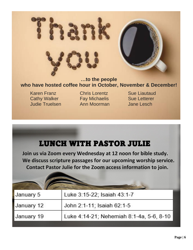

#### **…to the people who have hosted coffee hour in October, November & December!**

Karen Franz **Chris Lorentz** Sue Liautaud Cathy Walker Fay Michaelis Sue Letterer Judie Truelsen Ann Moorman Jane Lesch

January 12

January 19



John 2:1-11; Isaiah 62:1-5

Luke 4:14-21; Nehemiah 8:1-4a, 5-6, 8-10

| m<br>г.<br>ш | ֚֚֡֡<br>п |
|--------------|-----------|
|              |           |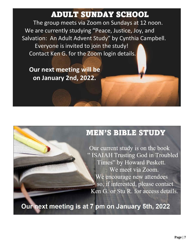### ADULT SUNDAY SCHOOL

 The group meets via Zoom on Sundays at 12 noon. We are currently studying "Peace, Justice, Joy, and Salvation: An Adult Advent Study" by Cynthia Campbell. Everyone is invited to join the study! Contact Ken G. for the Zoom login details.

 **Our next meeting will be on January 2nd, 2022.**

### **MEN'S BIBLE STUDY**

Our current study is on the book " ISAIAH Trusting God in Troubled Times" by Howard Peskett. We meet via Zoom. We encourage new attendees so, if interested, please contact Ken G. or Stu R. for access details.

Our next meeting is at 7 pm on January 5th, 2022